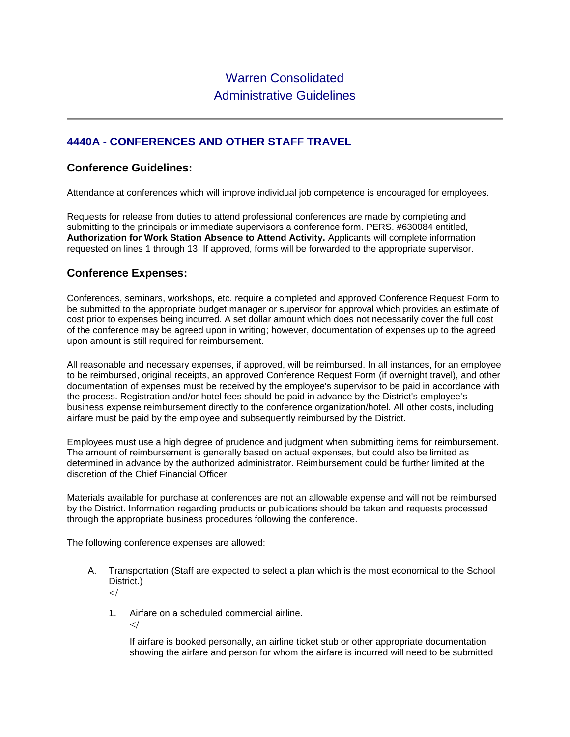# **4440A - CONFERENCES AND OTHER STAFF TRAVEL**

### **Conference Guidelines:**

Attendance at conferences which will improve individual job competence is encouraged for employees.

Requests for release from duties to attend professional conferences are made by completing and submitting to the principals or immediate supervisors a conference form. PERS. #630084 entitled, **Authorization for Work Station Absence to Attend Activity.** Applicants will complete information requested on lines 1 through 13. If approved, forms will be forwarded to the appropriate supervisor.

#### **Conference Expenses:**

Conferences, seminars, workshops, etc. require a completed and approved Conference Request Form to be submitted to the appropriate budget manager or supervisor for approval which provides an estimate of cost prior to expenses being incurred. A set dollar amount which does not necessarily cover the full cost of the conference may be agreed upon in writing; however, documentation of expenses up to the agreed upon amount is still required for reimbursement.

All reasonable and necessary expenses, if approved, will be reimbursed. In all instances, for an employee to be reimbursed, original receipts, an approved Conference Request Form (if overnight travel), and other documentation of expenses must be received by the employee's supervisor to be paid in accordance with the process. Registration and/or hotel fees should be paid in advance by the District's employee's business expense reimbursement directly to the conference organization/hotel. All other costs, including airfare must be paid by the employee and subsequently reimbursed by the District.

Employees must use a high degree of prudence and judgment when submitting items for reimbursement. The amount of reimbursement is generally based on actual expenses, but could also be limited as determined in advance by the authorized administrator. Reimbursement could be further limited at the discretion of the Chief Financial Officer.

Materials available for purchase at conferences are not an allowable expense and will not be reimbursed by the District. Information regarding products or publications should be taken and requests processed through the appropriate business procedures following the conference.

The following conference expenses are allowed:

- A. Transportation (Staff are expected to select a plan which is the most economical to the School District.)  $\lt/$ 
	- 1. Airfare on a scheduled commercial airline.

 $\lt/$ 

If airfare is booked personally, an airline ticket stub or other appropriate documentation showing the airfare and person for whom the airfare is incurred will need to be submitted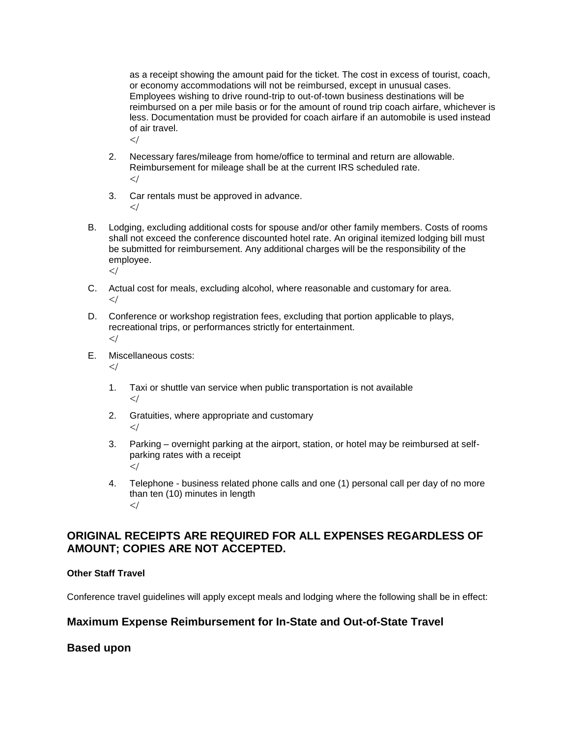as a receipt showing the amount paid for the ticket. The cost in excess of tourist, coach, or economy accommodations will not be reimbursed, except in unusual cases. Employees wishing to drive round-trip to out-of-town business destinations will be reimbursed on a per mile basis or for the amount of round trip coach airfare, whichever is less. Documentation must be provided for coach airfare if an automobile is used instead of air travel.  $\lt/$ 

- 2. Necessary fares/mileage from home/office to terminal and return are allowable. Reimbursement for mileage shall be at the current IRS scheduled rate.  $\lt/$
- 3. Car rentals must be approved in advance.  $\lt/$
- B. Lodging, excluding additional costs for spouse and/or other family members. Costs of rooms shall not exceed the conference discounted hotel rate. An original itemized lodging bill must be submitted for reimbursement. Any additional charges will be the responsibility of the employee.  $\lt/$
- C. Actual cost for meals, excluding alcohol, where reasonable and customary for area.  $\lt/$
- D. Conference or workshop registration fees, excluding that portion applicable to plays, recreational trips, or performances strictly for entertainment.  $\prec$ /
- E. Miscellaneous costs:
	- $\lt/$
	- 1. Taxi or shuttle van service when public transportation is not available  $\lt/$
	- 2. Gratuities, where appropriate and customary  $\lt/$
	- 3. Parking overnight parking at the airport, station, or hotel may be reimbursed at selfparking rates with a receipt  $\lt/$
	- 4. Telephone business related phone calls and one (1) personal call per day of no more than ten (10) minutes in length  $<\!\!/$

# **ORIGINAL RECEIPTS ARE REQUIRED FOR ALL EXPENSES REGARDLESS OF AMOUNT; COPIES ARE NOT ACCEPTED.**

#### **Other Staff Travel**

Conference travel guidelines will apply except meals and lodging where the following shall be in effect:

## **Maximum Expense Reimbursement for In-State and Out-of-State Travel**

#### **Based upon**